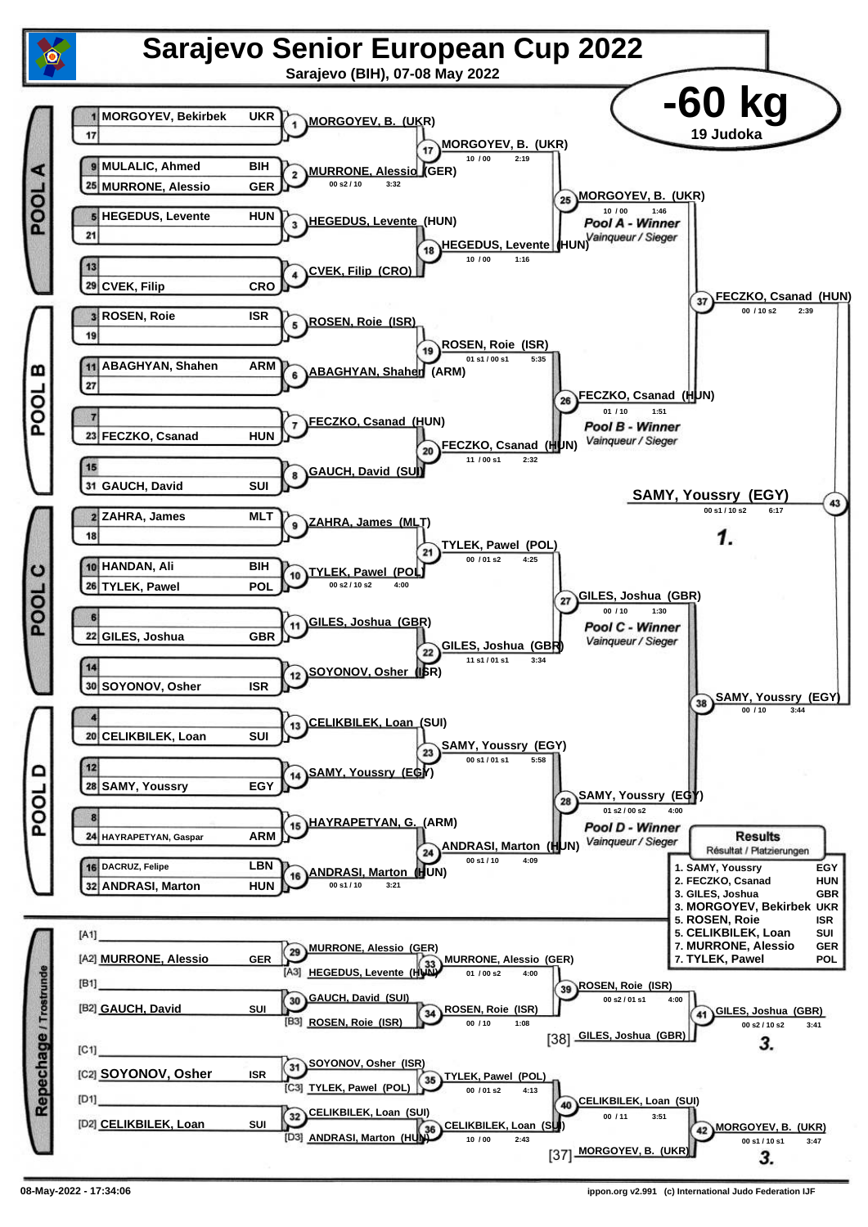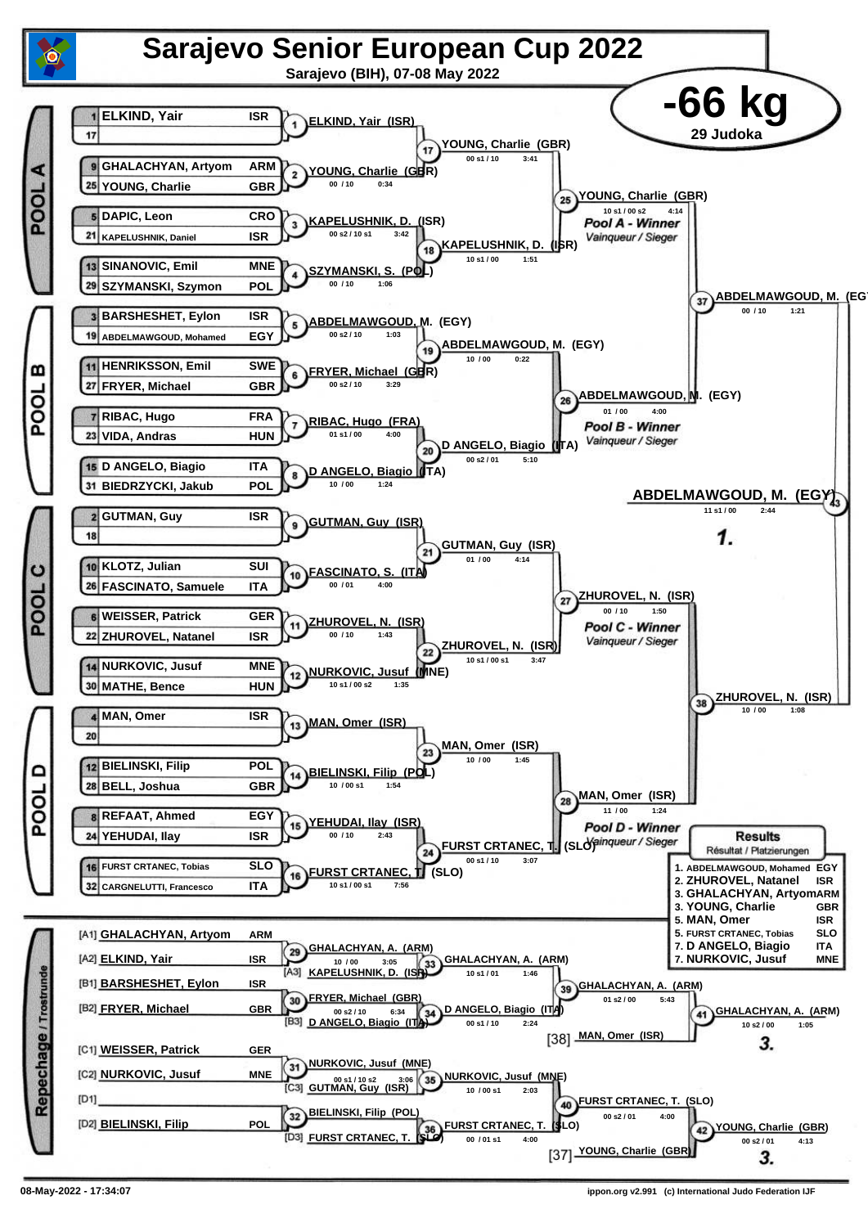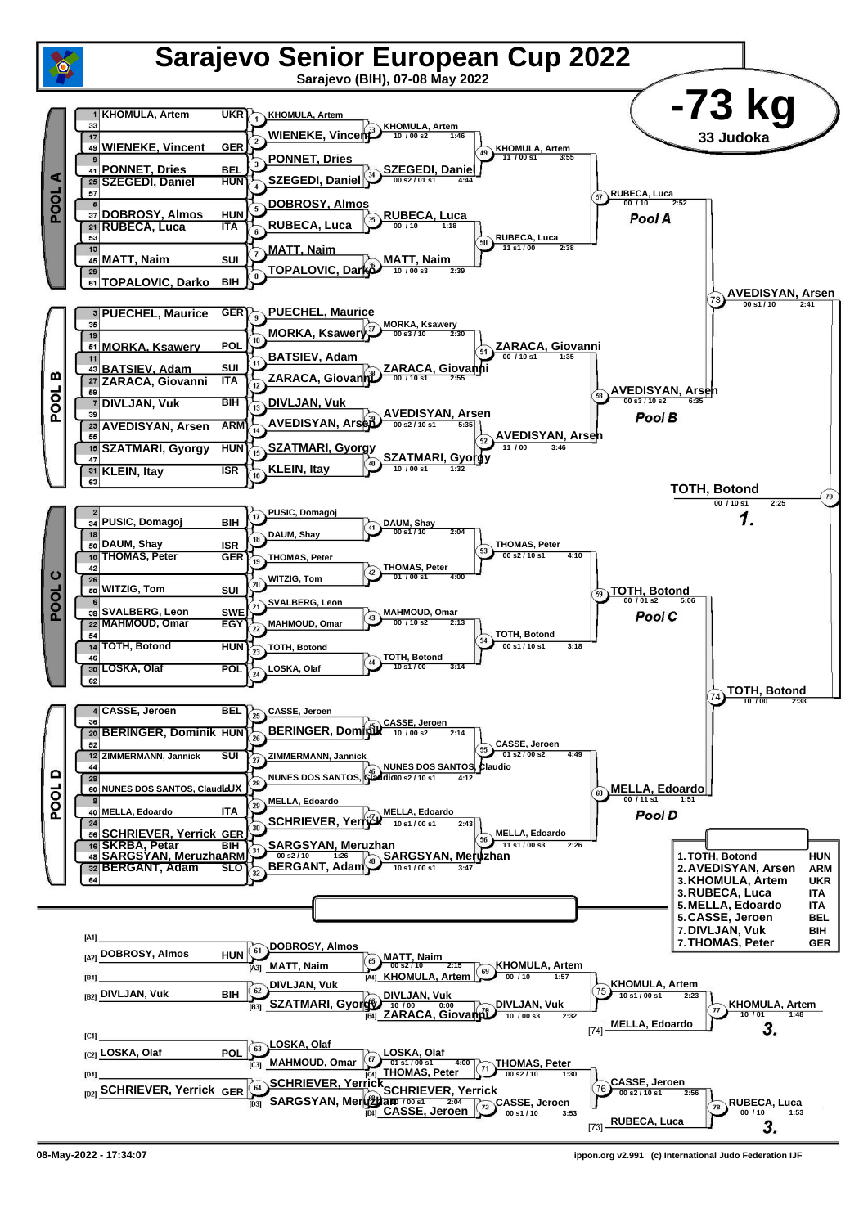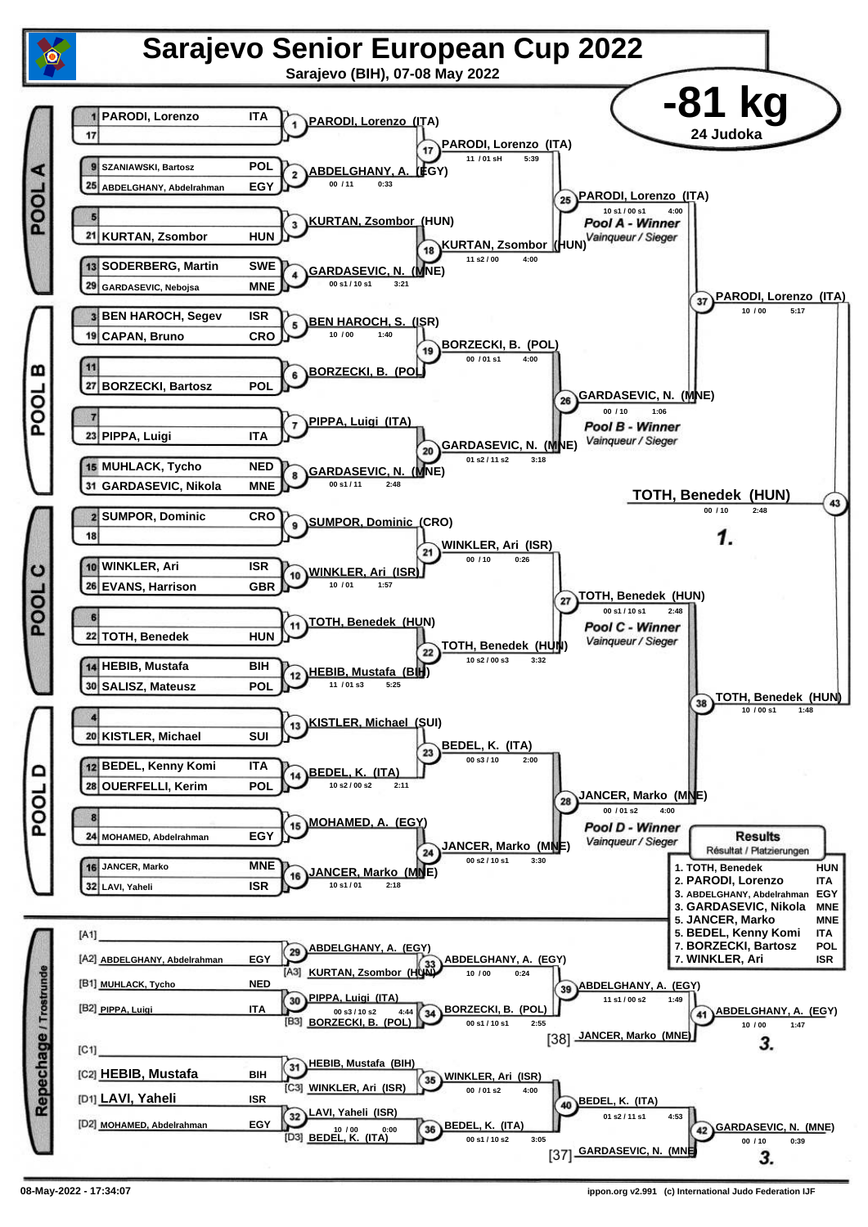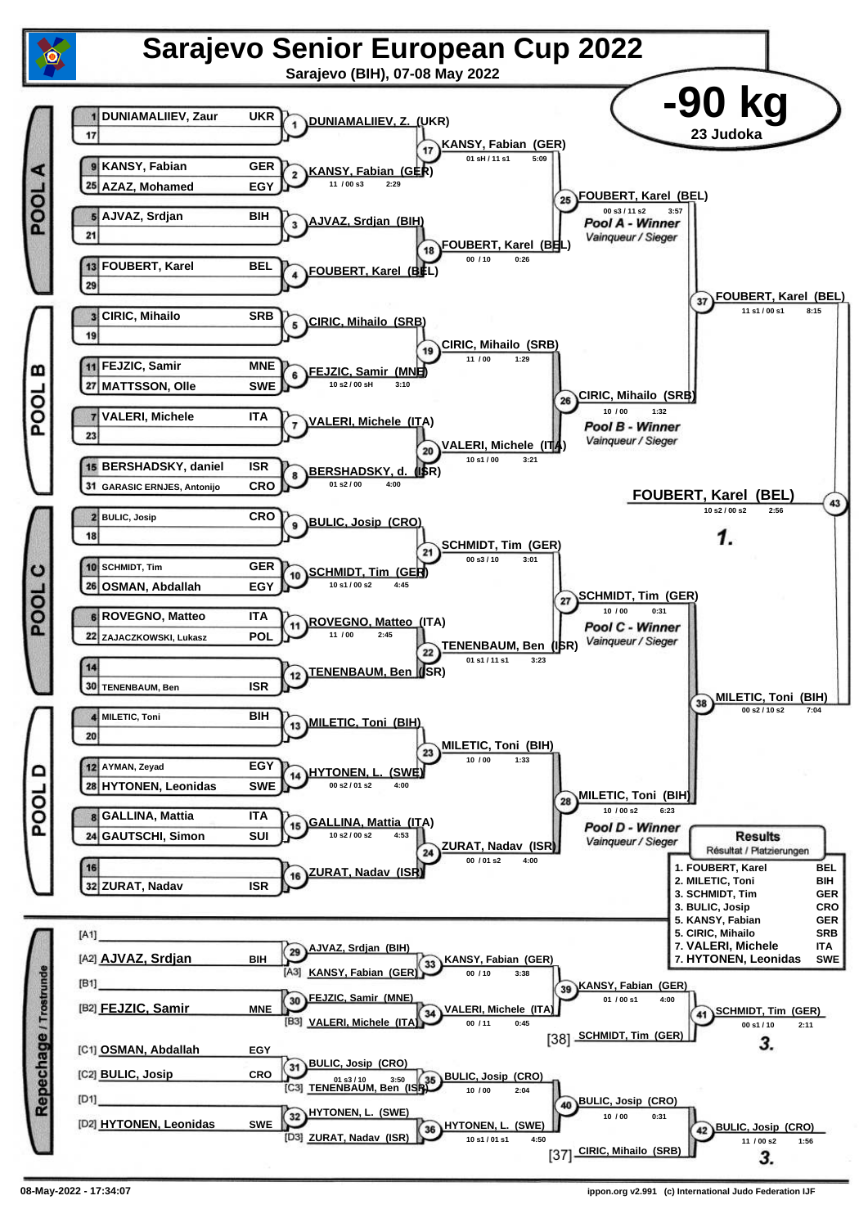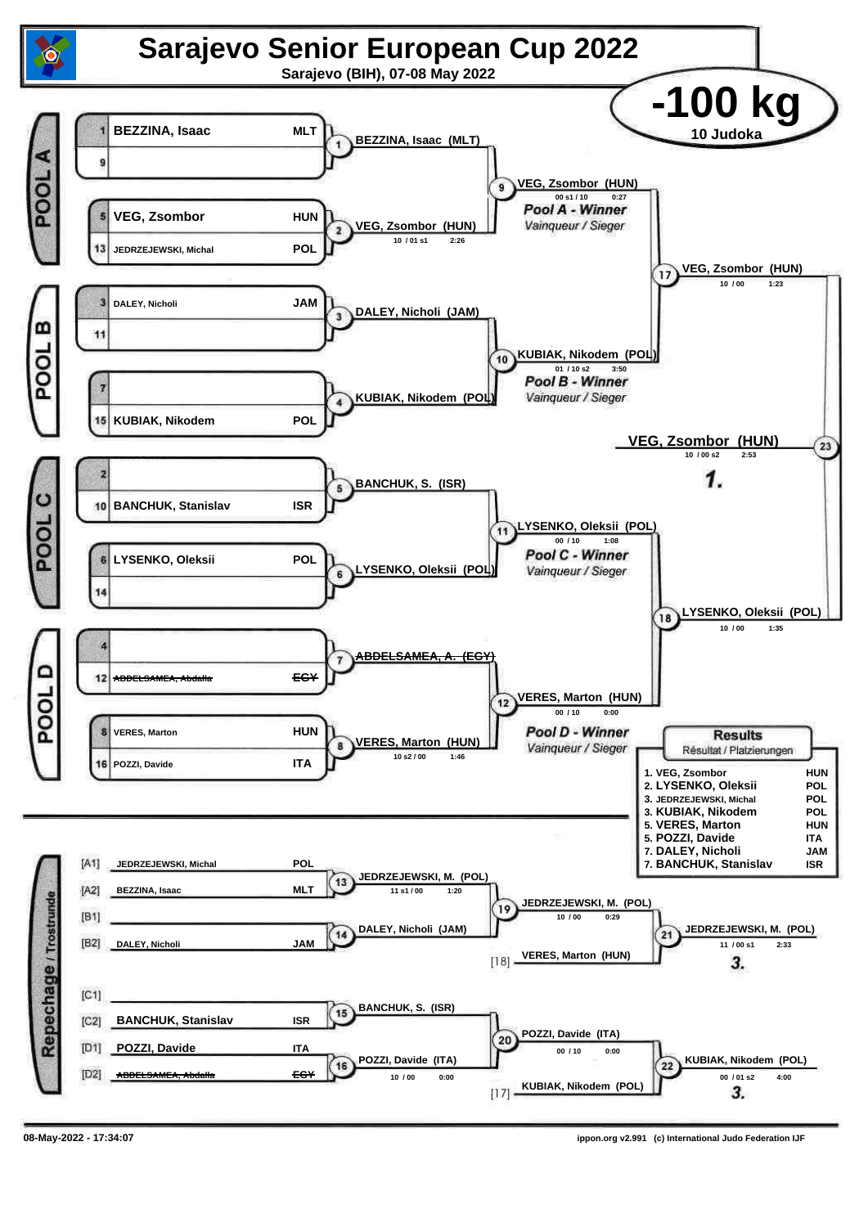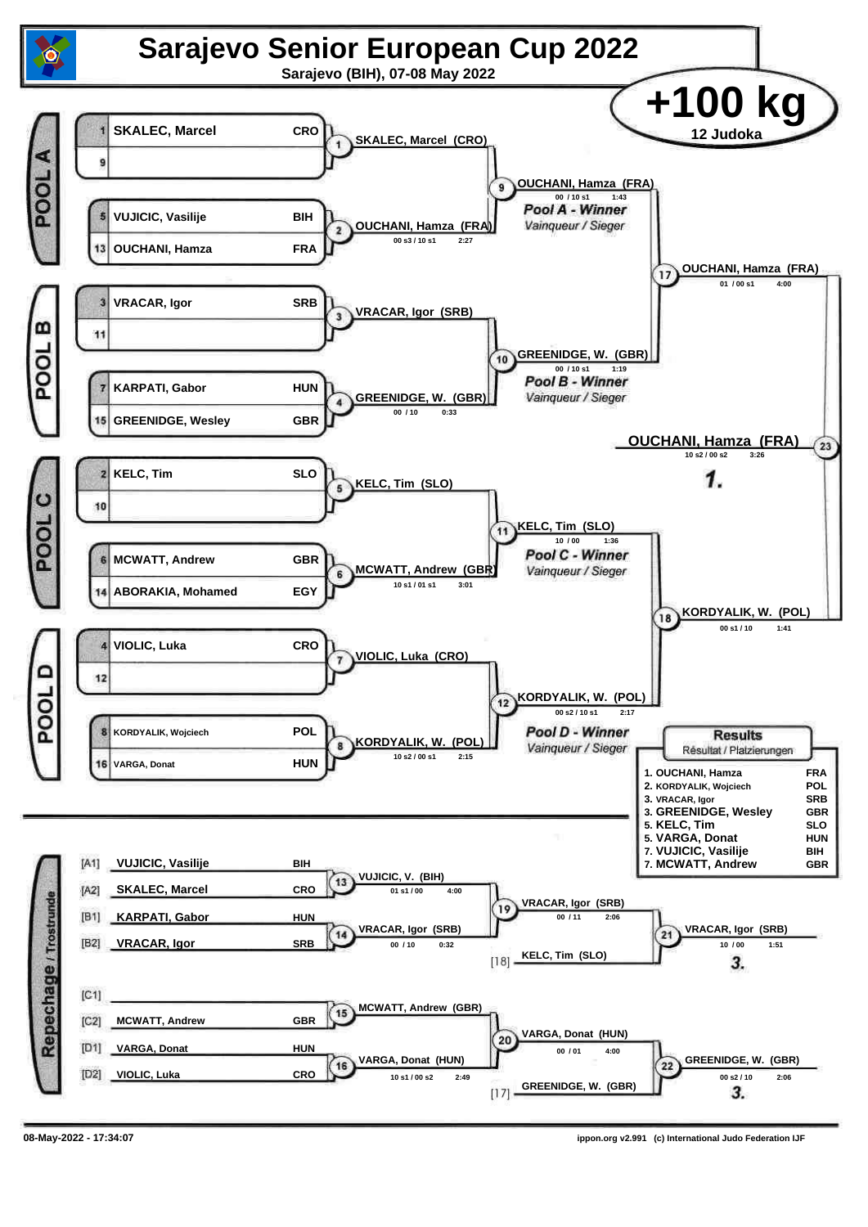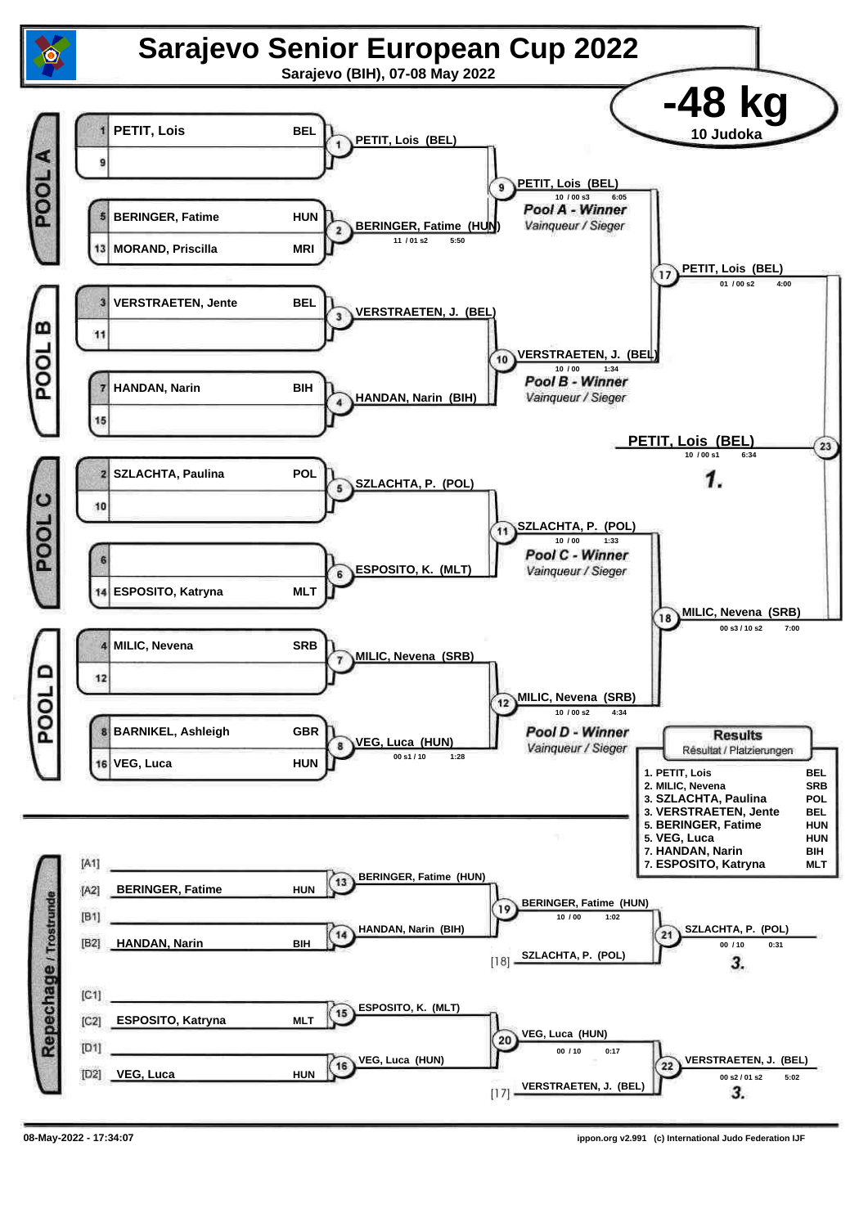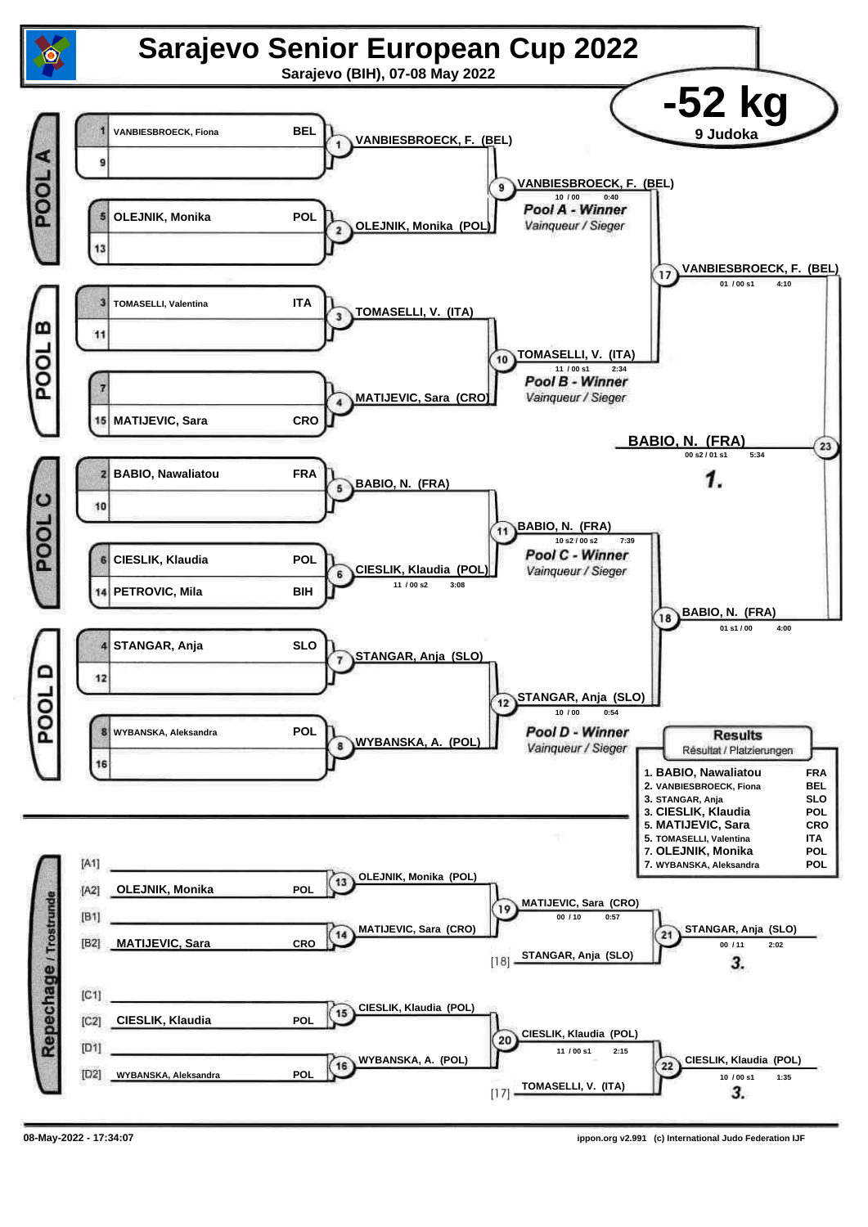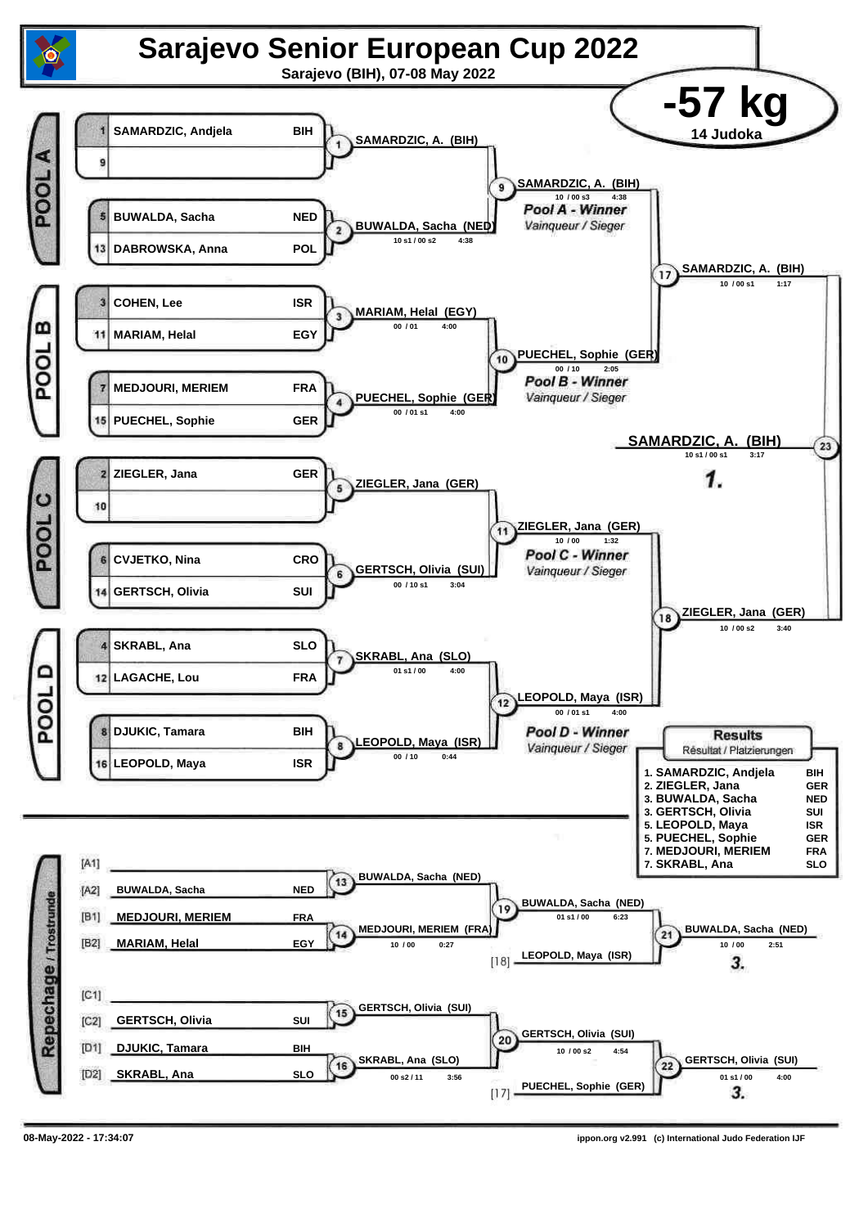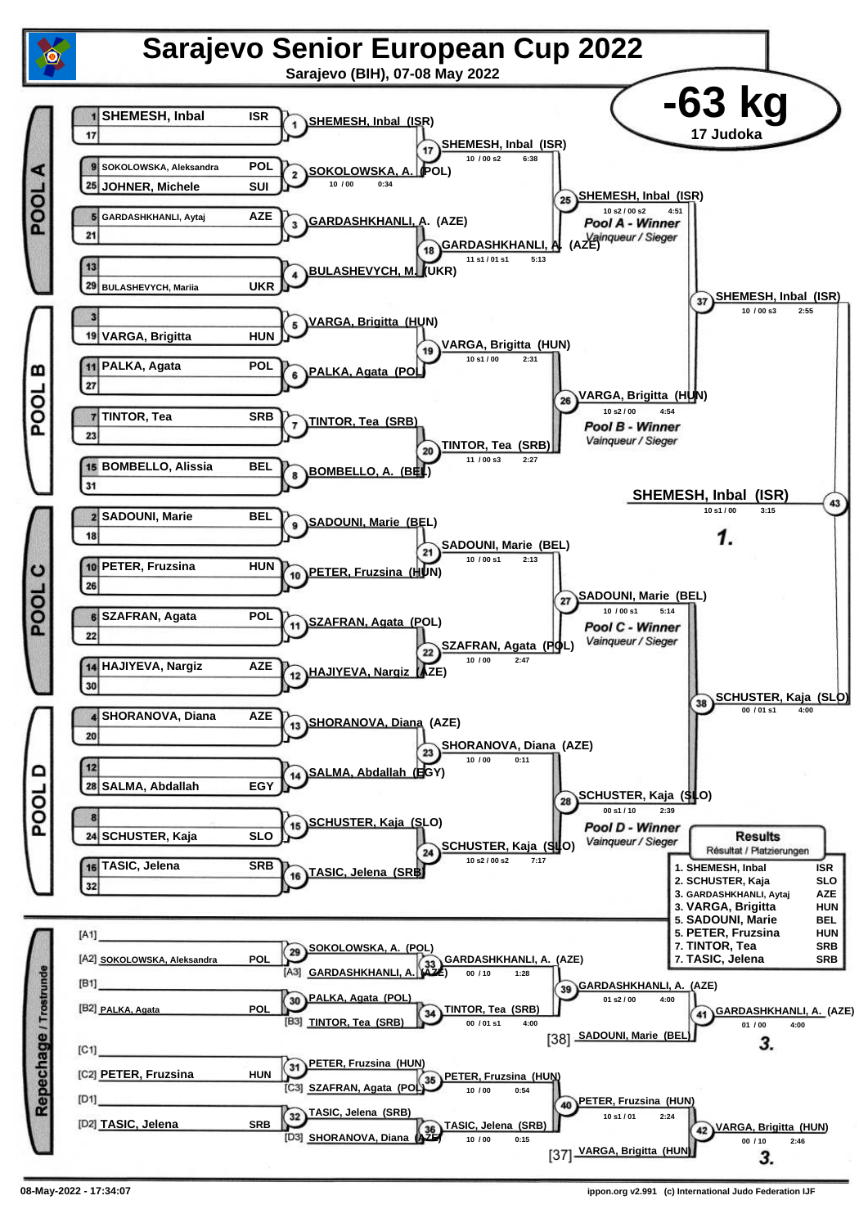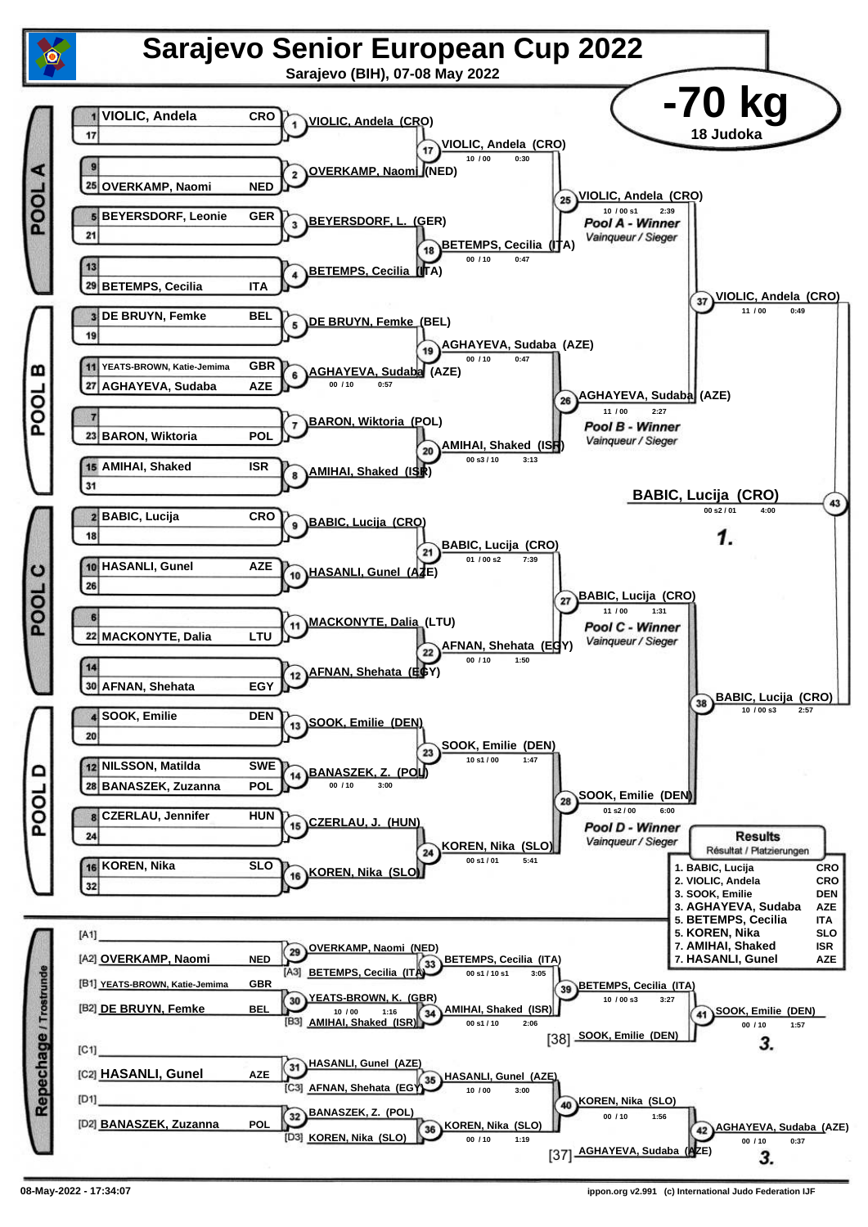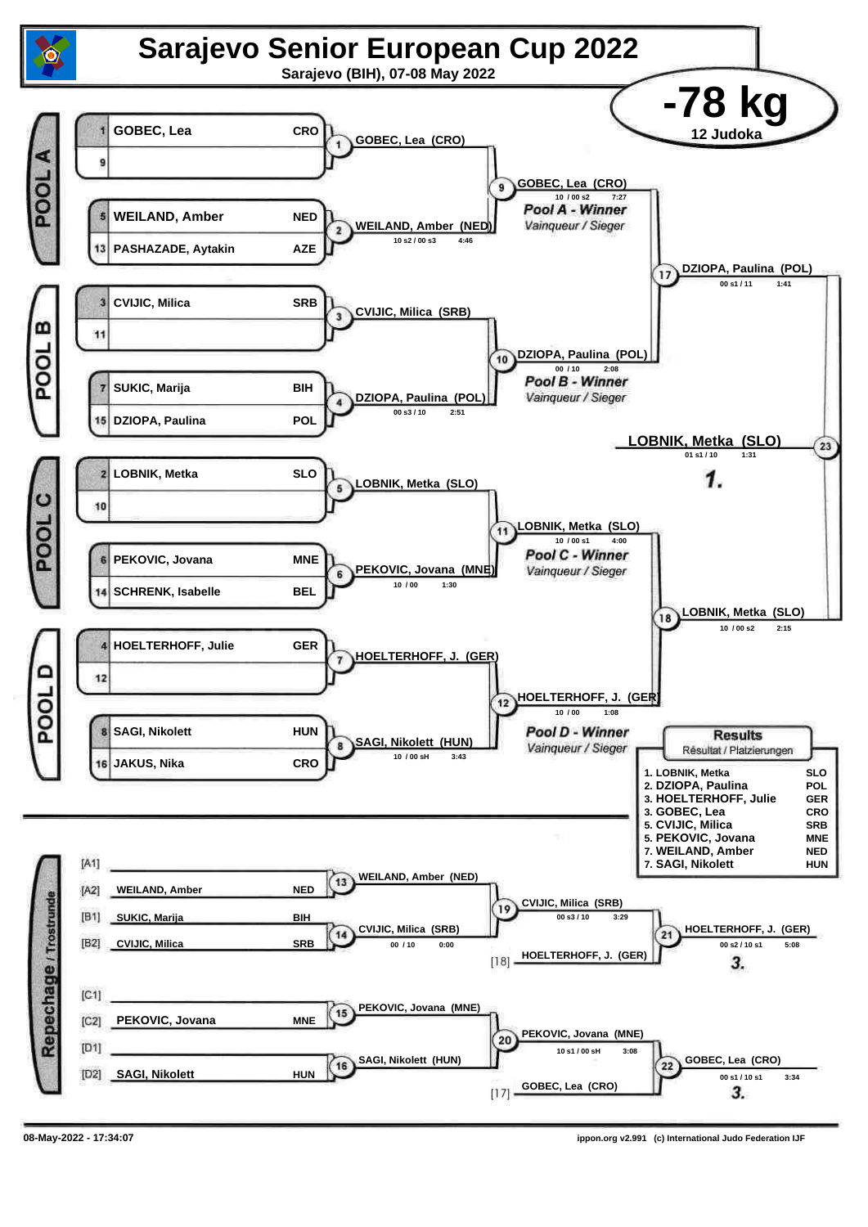